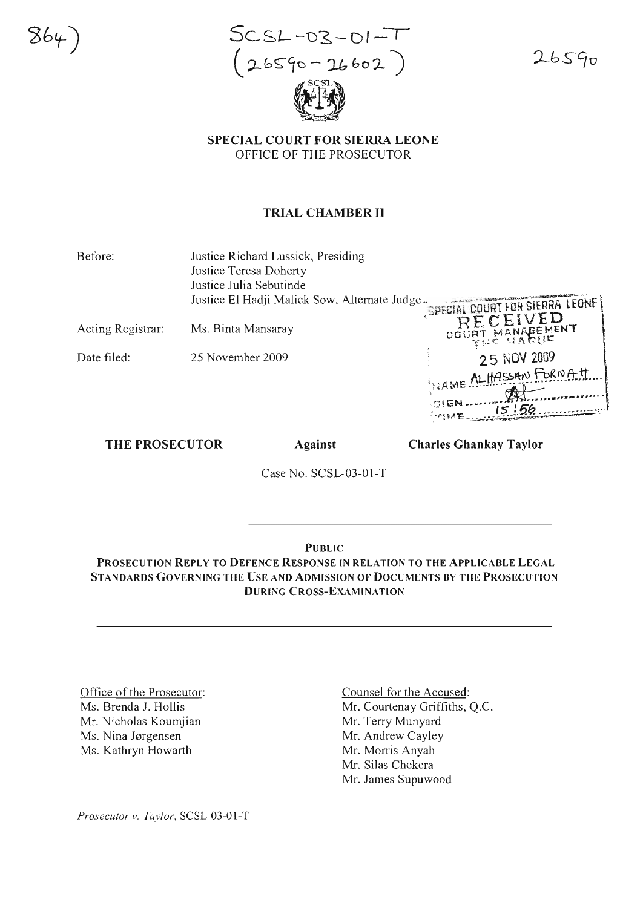$864$ 

 $SCSL-03-01-T$  $(26590 - 26602)$ 

 $26590$ 

**SPECIAL COURT FOR SIERRA LEONE** OFFICE OF THE PROSECUTOR

## **TRIAL CHAMBER II**

Before: Justice Richard Lussick, Presiding

Justice Teresa Doherty Justice Julia Sebutinde

Justice El Hadji Malick Sow, Alternate Judge -

Acting Registrar: Ms. Binta Mansaray

Date filed: 25 November 2009

THE PROSECUTOR

**Against** 

**Charles Ghankay Taylor** 

COURT

**SPECIAL COURT FOR SIERRA LEONE** RECEIVED

RT MANABEM

25 NOV 2009

LITASSAN FORNATI

Case No. SCSL-03-01-T

# **PUBLIC**

PROSECUTION REPLY TO DEFENCE RESPONSE IN RELATION TO THE APPLICABLE LEGAL STANDARDS GOVERNING THE USE AND ADMISSION OF DOCUMENTS BY THE PROSECUTION **DURING CROSS-EXAMINATION** 

Office of the Prosecutor: Ms. Brenda J. Hollis Mr. Nicholas Koumjian Ms. Nina Jørgensen Ms. Kathryn Howarth

Counsel for the Accused: Mr. Courtenay Griffiths, Q.C. Mr. Terry Munyard Mr. Andrew Cayley Mr. Morris Anyah Mr. Silas Chekera Mr. James Supuwood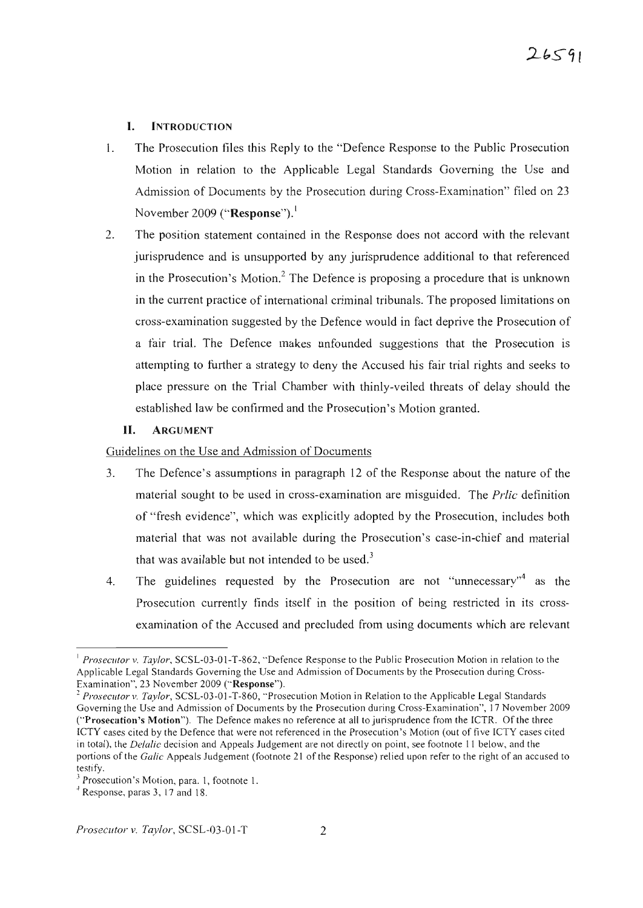## I. INTRODUCTION

- I. The Prosecution files this Reply to the "Defence Response to the Public Prosecution Motion in relation to the Applicable Legal Standards Governing the Use and Admission of Documents by the Prosecution during Cross-Examination" filed on 23 November 2009 ("Response").'
- 2. The position statement contained in the Response does not accord with the relevant jurisprudence and is unsupported by any jurisprudence additional to that referenced in the Prosecution's Motion.<sup>2</sup> The Defence is proposing a procedure that is unknown in the current practice of international criminal tribunals. The proposed limitations on cross-examination suggested by the Defence would in fact deprive the Prosecution of a fair trial. The Defence makes unfounded suggestions that the Prosecution is attempting to further a strategy to deny the Accused his fair trial rights and seeks to place pressure on the Trial Chamber with thinly-veiled threats of delay should the established law be confirmed and the Prosecution's Motion granted .

## **II.** ARGUMENT

## Guidelines on the Use and Admission of Documents

- 3. The Defence's assumptions in paragraph 12 of the Response about the nature of the material sought to be used in cross-examination are misguided. The *Prlic* definition of "fresh evidence", which was explicitly adopted by the Prosecution, includes both material that was not available during the Prosecution's case-in-chief and material that was available but not intended to be used. $3$
- 4. The guidelines requested by the Prosecution are not "unnecessary"<sup>4</sup> as the Prosecution currently finds itself in the position of being restricted in its crossexamination of the Accused and precluded from using documents which are relevant

<sup>&</sup>lt;sup>1</sup> Prosecutor v. Taylor, SCSL-03-01-T-862, "Defence Response to the Public Prosecution Motion in relation to the Applicable Legal Standards Governing the Use and Admission of Documents by the Prosecution during Cross-Examination", 23 November 2009 ("Response").

<sup>&</sup>lt;sup>2</sup> Prosecutor v. Taylor, SCSL-03-01-T-860, "Prosecution Motion in Relation to the Applicable Legal Standards Goveming the Use and Admission of Documents by the Prosecution during Cross-Examination", 17 November 2009 ("Prosecution's Motion"). The Defence makes no reference at all to jurisprudence from the ICTR. Of the three ICTY cases cited by the Defence that were not referenced in the Prosecution's Motion (out of five ICTY cases cited in total), the *Delalic* decision and Appeals Judgement are not directly on point, see footnote 11 below, and the portions of the *Galic* Appeals Judgement (footnote 21 of the Response) relied upon refer to the right of an accused to testify.

Prosecution's Motion, para. 1, footnote 1.

<sup>4</sup> Response, paras 3, 17 and 18.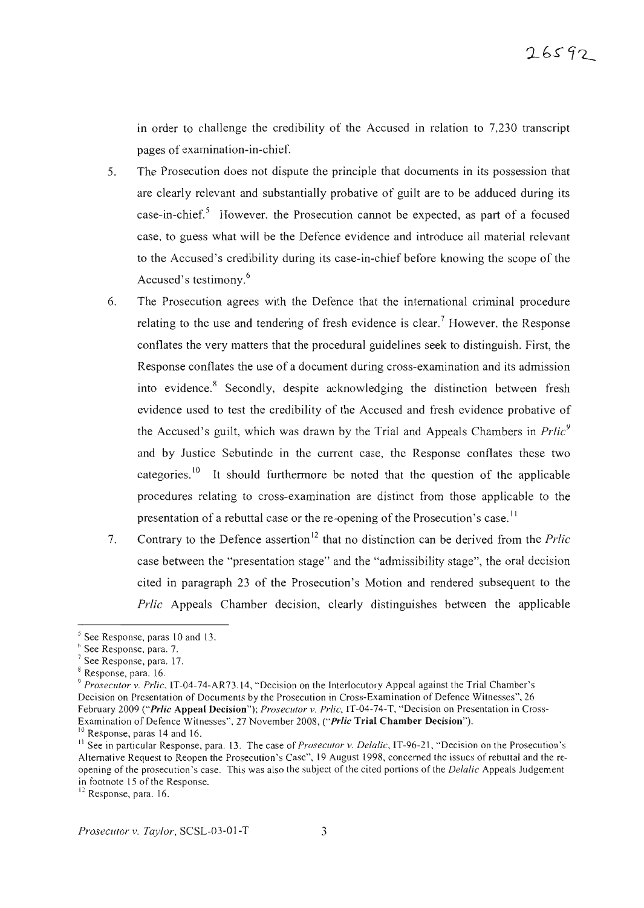in order to challenge the credibility of the Accused in relation to  $7,230$  transcript pages of examination-in-chief.

- *S.* The Prosecution does not dispute the principle that documents in its possession that are clearly relevant and substantially probative of guilt are to be adduced during its case-in-chief.<sup>5</sup> However, the Prosecution cannot be expected, as part of a focused case, to guess what will be the Defence evidence and introduce all material relevant to the Accused's credibility during its case-in-chief before knowing the scope of the Accused's testimony.<sup>6</sup>
- 6. The Prosecution agrees with the Defence that the international criminal procedure relating to the use and tendering of fresh evidence is clear.<sup>7</sup> However, the Response conflates the very matters that the procedural guidelines seek to distinguish. First, the Response conflates the use of a document during cross-examination and its admission into evidence.<sup>8</sup> Secondly, despite acknowledging the distinction between fresh evidence used to test the credibility of the Accused and fresh evidence probative of the Accused's guilt, which was drawn by the Trial and Appeals Chambers in *Prlic*<sup>9</sup> and by Justice Sebutinde in the current case, the Response conflates these two categories.<sup>10</sup> It should furthermore be noted that the question of the applicable procedures relating to cross-examination are distinct from those applicable to the presentation of a rebuttal case or the re-opening of the Prosecution's case.<sup>11</sup>
- 7. Contrary to the Defence assertion <sup>12</sup> that no distinction can be derived from the *Prlic* case between the "presentation stage" and the "admissibility stage", the oral decision cited in paragraph 23 of the Prosecution's Motion and rendered subsequent to the *Prlic* Appeals Chamber decision, clearly distinguishes between the applicable

<sup>5</sup> See Response, paras 10 and 13.

<sup>&</sup>lt;sup>6</sup> See Response, para. 7.

 $'$  See Response, para. 17.

 $8$  Response, para. 16.

<sup>&</sup>lt;sup>9</sup> Prosecutor v. Prlic, IT-04-74-AR73.14, "Decision on the Interlocutory Appeal against the Trial Chamber's Decision on Presentation of Documents by the Prosecution in Cross-Examination of Defence Witnesses", 26 February 2009 ("Prlic Appeal Decision"); *Prosecutor v. Prlic*, IT-04-74-T, "Decision on Presentation in Cross-Examination of Defence Witnesses", 27 November 2008, ("Prlic Trial Chamber Decision").

<sup>&</sup>lt;sup>10</sup> Response, paras 14 and 16.

<sup>&</sup>lt;sup>11</sup> See in particular Response, para. 13. The case of *Prosecutor* v. *Delalic*, IT-96-21, "Decision on the Prosecution's Altemative Request to Reopen the Prosecution's Case", 19 August 1998, concemed the issues of rebuttal and the reopening of the prosecution's case. This was also the subject of the cited portion s of the *Dela/ie* Appeals Judgement in footnote 15 of the Response.

<sup>&</sup>lt;sup>12</sup> Response, para. 16.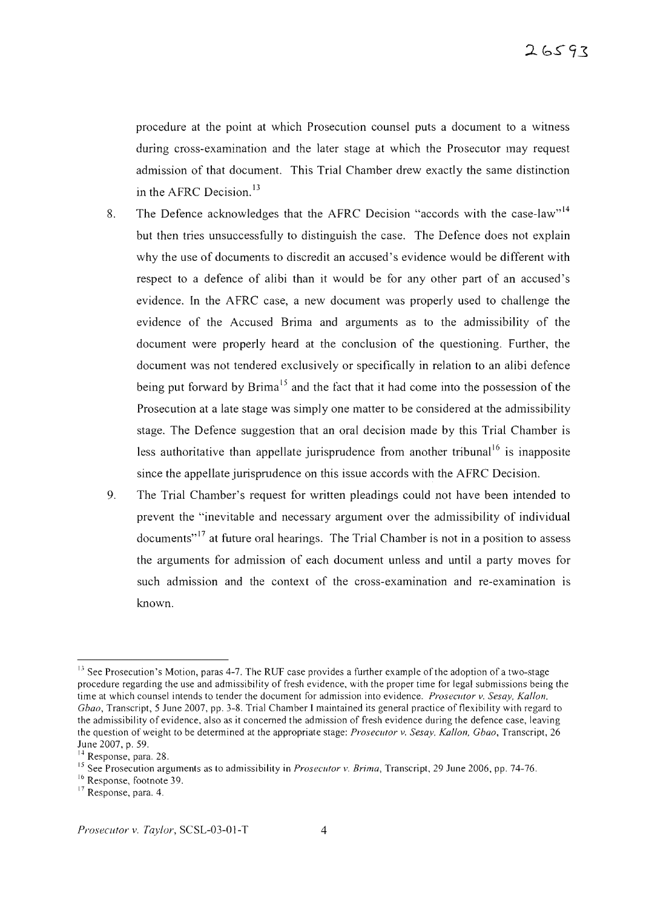procedure at the point at which Prosecution counsel puts a document to a witness during cross-examination and the later stage at which the Prosecutor may request admission of that document. This Trial Chamber drew exactly the same distinction in the AFRC Decision. $13$ 

- 8. The Defence acknowledges that the AFRC Decision "accords with the case-law"<sup>14</sup> but then tries unsuccessfully to distinguish the case. The Defence does not explain why the use of documents to discredit an accused's evidence would be different with respect to a defence of alibi than it would be for any other part of an accused's evidence. In the AFRC case, a new document was properly used to challenge the evidence of the Accused Brima and arguments as to the admissibility of the document were properly heard at the conclusion of the questioning. Further, the document was not tendered exclusively or specifically in relation to an alibi defence being put forward by  $Brima<sup>15</sup>$  and the fact that it had come into the possession of the Prosecution at a late stage was simply one matter to be considered at the admissibility stage. The Defence suggestion that an oral decision made by this Trial Chamber is less authoritative than appellate jurisprudence from another tribunal<sup>16</sup> is inapposite since the appellate jurisprudence on this issue accords with the AFRC Decision.
- 9. The Trial Chamber's request for written pleadings could not have been intended to prevent the "inevitable and necessary argument over the admissibility of individual documents<sup>"17</sup> at future oral hearings. The Trial Chamber is not in a position to assess the arguments for admission of each document unless and until a party moves for such admission and the context of the cross-examination and re-examination is known.

<sup>&</sup>lt;sup>13</sup> See Prosecution's Motion, paras 4-7. The RUF case provides a further example of the adoption of a two-stage procedure regarding the use and admissibility of fresh evidence, with the proper time for legal submissions being the time at which counsel intends to tender the document for admission into evidence. *Prosecutor v. Sesay, Kallon, Gbao,* Transcript, 5 June 2007, pp. 3-8. Trial Chamber I maintained its general practice of flexibility with regard to the admissibility of evidence, also as it concemed the admission of fresh evidence during the defence case, leaving the question of weight to be determined at the appropriate stage: *Prosecutor v. Sesay, Kallon, Gbao*, Transcript, 26 June 2007, p. 59.

<sup>&</sup>lt;sup>14</sup> Response, para. 28.

<sup>&</sup>lt;sup>15</sup> See Prosecution arguments as to admissibility in *Prosecutor v. Brima*, Transcript, 29 June 2006, pp. 74-76.

<sup>&</sup>lt;sup>16</sup> Response, footnote 39.

<sup>17</sup> Response, para. 4.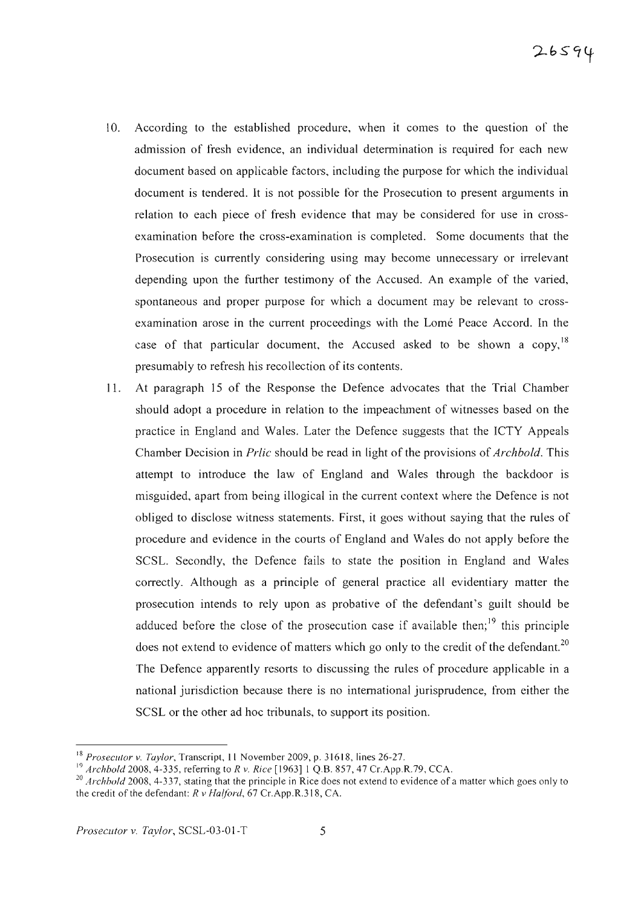- 10. According to the established procedure, when it comes to the question of the admission of fresh evidence, an individual determination is required for each new document based on applicable factors, including the purpose for which the individual document is tendered. It is not possible for the Prosecution to present arguments in relation to each piece of fresh evidence that may be considered for use in crossexamination before the cross-examination is completed. Some documents that the Prosecution is currently considering using may become unnecessary or irrelevant depending upon the further testimony of the Accused. An example of the varied, spontaneous and proper purpose for which a document may be relevant to crossexamination arose in the current proceedings with the Lome Peace Accord. In the case of that particular document, the Accused asked to be shown a copy,  $18$ presumably to refresh his recollection of its contents.
- 11. At paragraph 15 of the Response the Defence advocates that the Trial Chamber should adopt a procedure in relation to the impeachment of witnesses based on the practice in England and Wales. Later the Defence suggests that the lCTY Appeals Chamber Decision in *Prlic* should be read in light of the provisions of *Archbold.* This attempt to introduce the law of England and Wales through the backdoor is misguided, apart from being illogical in the current context where the Defence is not obliged to disclose witness statements. First, it goes without saying that the rules of procedure and evidence in the courts of England and Wales do not apply before the SCSL. Secondly, the Defence fails to state the position in England and Wales correctly. Although as a principle of general practice all evidentiary matter the prosecution intends to rely upon as probative of the defendant's guilt should be adduced before the close of the prosecution case if available then;<sup>19</sup> this principle does not extend to evidence of matters which go only to the credit of the defendant.<sup>20</sup> The Defence apparently resorts to discussing the rules of procedure applicable in a national jurisdiction because there is no international jurisprudence, from either the SCSL or the other ad hoc tribunals, to support its position.

<sup>18</sup> *Prosecutor v. Taylor,* Transcript, **II** November 2009 , p. 31618 , lines 26-27.

<sup>&</sup>lt;sup>19</sup> *Archbold* 2008, 4-335, referring to *R v. Rice* [1963] 1 Q.B. 857, 47 Cr.App.R.79, CCA.

<sup>&</sup>lt;sup>20</sup> *Archbold* 2008, 4-337, stating that the principle in Rice does not extend to evidence of a matter which goes only to the credit of the defendant: *R v Halford.* 67 Cr.App.R.318, CA.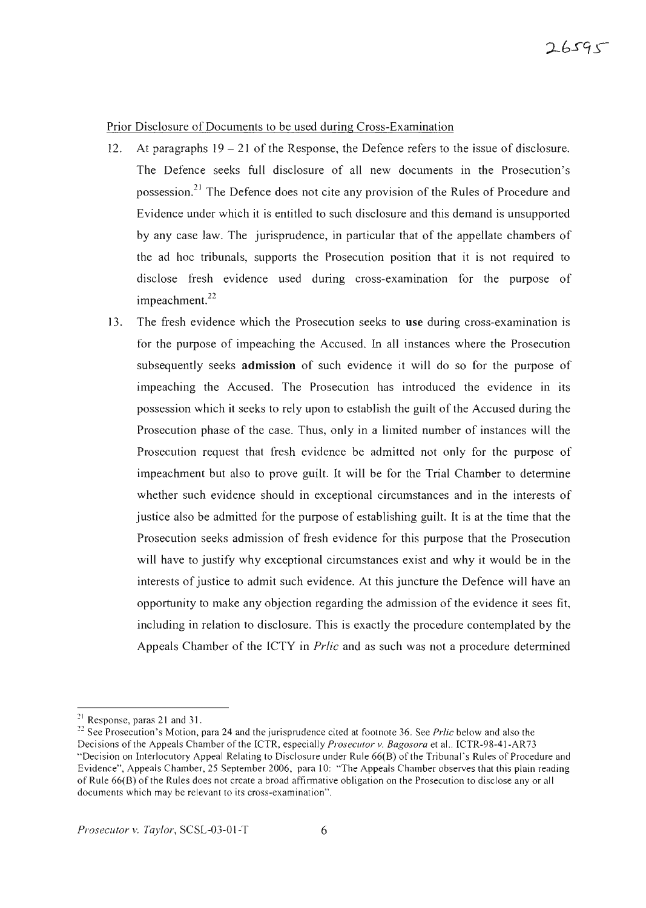## Prior Disclosure of Documents to be used during Cross-Examination

- 12. At paragraphs  $19 21$  of the Response, the Defence refers to the issue of disclosure. The Defence seeks full disclosure of all new documents in the Prosecution's possession.<sup>21</sup> The Defence does not cite any provision of the Rules of Procedure and Evidence under which it is entitled to such disclosure and this demand is unsupported by any case law. The jurisprudence, in particular that of the appellate chambers of the ad hoc tribunals, supports the Prosecution position that it is not required to disclose fresh evidence used during cross-examination for the purpose of  $im$  peach ment.<sup>22</sup>
- 13. The fresh evidence which the Prosecution seeks to **use** during cross-examination is for the purpose of impeaching the Accused. In all instances where the Prosecution subsequently seeks **admission** of such evidence it will do so for the purpose of impeaching the Accused. The Prosecution has introduced the evidence in its possession which it seeks to rely upon to establish the guilt of the Accused during the Prosecution phase of the case. Thus, only in a limited number of instances will the Prosecution request that fresh evidence be admitted not only for the purpose of impeachment but also to prove guilt. It will be for the Trial Chamber to determine whether such evidence should in exceptional circumstances and in the interests of justice also be admitted for the purpose of establishing guilt. It is at the time that the Prosecution seeks admission of fresh evidence for this purpose that the Prosecution will have to justify why exceptional circumstances exist and why it would be in the interests of justice to admit such evidence. At this juncture the Defence will have an opportunity to make any objection regarding the admission of the evidence it sees tit, including in relation to disclosure. This is exactly the procedure contemplated by the Appeals Chamber of the ICTY in *Prlic* and as such was not a procedure determined

 $^{21}$  Response, paras 21 and 31.

<sup>&</sup>lt;sup>22</sup> See Prosecution's Motion, para 24 and the jurisprudence cited at footnote 36. See *Prlic* below and also the Decisions of the Appeals Chamber of the ICTR, especially *Prosecutor v. Bagosora* et al., ICTR-98-41-AR73 "Decision on Interlocutory Appeal Relating to Disclosure under Rule 66(B) of the Tribunal's Rules of Procedure and Evidence", Appeals Chamber, 25 September 2006, para 10: "The Appeals Chamber observes that this plain reading of Rule 66(B) of the Rules does not create a broad affirmative obligation on the Prosecution to disclose any or all documents which may be relevant to its cross-examination".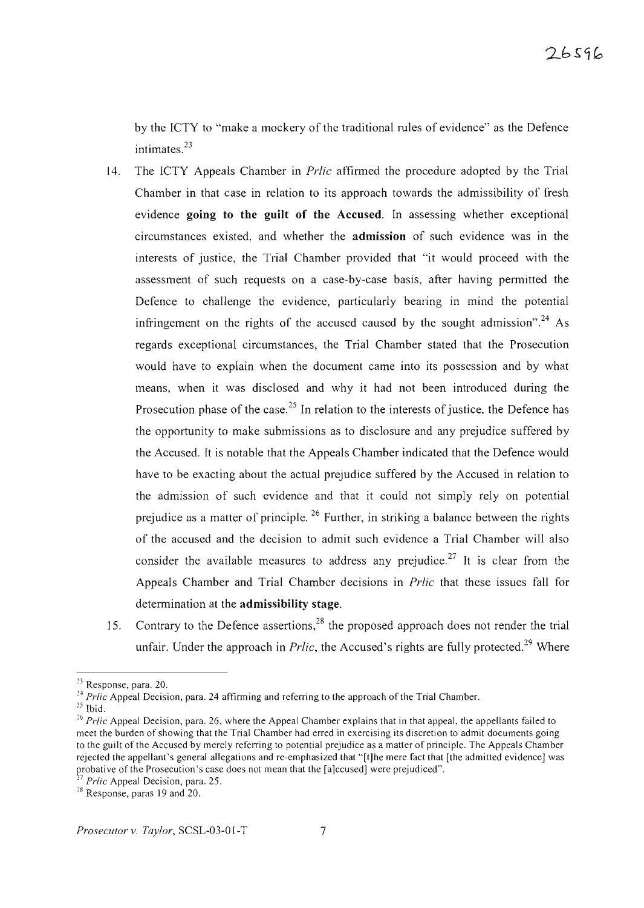by the rCTY to "make a mockery of the traditional rules of evidence" as the Defence intimates. $^{23}$ 

- 14. The ICTY Appeals Chamber in *Prlic* affirmed the procedure adopted by the Trial Chamber in that case in relation to its approach towards the admissibility of fresh evidence **going to the guilt of the** Accused. In assessing whether exceptional circumstances existed, and whether the **admission** of such evidence was in the interests of justice, the Trial Chamber provided that "it would proceed with the assessment of such requests on a case-by-case basis, after having permitted the Defence to challenge the evidence, particularly bearing in mind the potential infringement on the rights of the accused caused by the sought admission".<sup>24</sup> As regards exceptional circumstances, the Trial Chamber stated that the Prosecution would have to explain when the document came into its possession and by what means, when it was disclosed and why it had not been introduced during the Prosecution phase of the case.<sup>25</sup> In relation to the interests of justice, the Defence has the opportunity to make submissions as to disclosure and any prejudice suffered by the Accused. It is notable that the Appeals Chamber indicated that the Defence would have to be exacting about the actual prejudice suffered by the Accused in relation to the admission of such evidence and that it could not simply rely on potential prejudice as a matter of principle.  $26$  Further, in striking a balance between the rights of the accused and the decision to admit such evidence a Trial Chamber will also consider the available measures to address any prejudice.<sup>27</sup> It is clear from the Appeals Chamber and Trial Chamber decisions in *Prlic* that these issues fall for determination at the **admissibility** stage.
- 15. Contrary to the Defence assertions,  $2^8$  the proposed approach does not render the trial unfair. Under the approach in *Prlic*, the Accused's rights are fully protected.<sup>29</sup> Where

 $23$  Response, para. 20.

<sup>&</sup>lt;sup>24</sup> Prlic Appeal Decision, para. 24 affirming and referring to the approach of the Trial Chamber.

 $25$  Ibid.

<sup>&</sup>lt;sup>26</sup> *Prlic* Appeal Decision, para. 26, where the Appeal Chamber explains that in that appeal, the appellants failed to meet the burden of showing that the Trial Chamber had erred in exercising its discretion to admit documents going to the guilt of the Accused by merely referring to potential prejudice as a matter of principle. The Appeals Chamber rejected the appellant's general allegations and re-emphasized that "[t]he mere fact that [the admitted evidence] was probative of the Prosecution's case does not mean that the [a]ccused] were prejudiced".

<sup>&</sup>lt;sup>27</sup> *Prlic* Appeal Decision, para. 25.

<sup>&</sup>lt;sup>28</sup> Response, paras 19 and 20.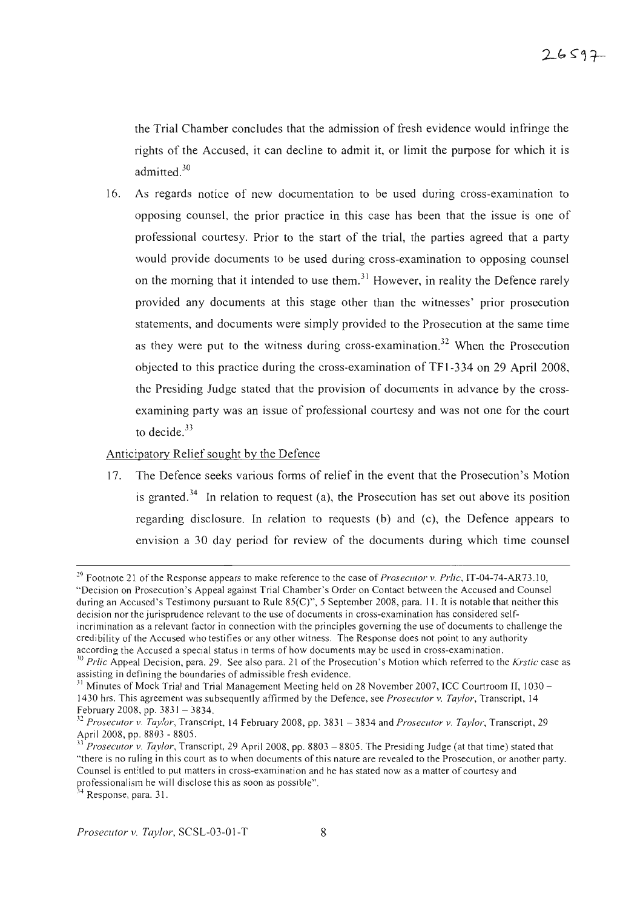the Trial Chamber concludes that the admission of fresh evidence would infringe the rights of the Accused, it can decline to admit it, or limit the purpose for which it is admitted.<sup>30</sup>

16. As regards notice of new documentation to be used during cross-examination to opposing counsel, the prior practice in this case has been that the issue is one of professional courtesy. Prior to the start of the trial, the parties agreed that a party would provide documents to be used during cross-examination to opposing counsel on the morning that it intended to use them.<sup>31</sup> However, in reality the Defence rarely provided any documents at this stage other than the witnesses' prior prosecution statements, and documents were simply provided to the Prosecution at the same time as they were put to the witness during cross-examination.<sup>32</sup> When the Prosecution objected to this practice during the cross-examination of TFI-334 on 29 April 2008 , the Presiding Judge stated that the provision of documents in advance by the crossexamining party was an issue of professional courtesy and was not one for the court to decide. $33$ 

## Anticipatory Relief sought by the Defence

17. The Defence seeks various forms of relief in the event that the Prosecution's Motion is granted.<sup>34</sup> In relation to request (a), the Prosecution has set out above its position regarding disclosure. In relation to requests (b) and (c), the Defence appears to envision a 30 day period for review of the documents during which time counsel

<sup>&</sup>lt;sup>29</sup> Footnote 21 of the Response appears to make reference to the case of *Prosecutor* v. *Prlic*, IT-04-74-AR73.10, "Decision on Prosecution's Appeal against Trial Chamber's Order on Contact between the Accused and Counsel during an Accused's Testimony pursuant to Rule  $85(C)$ ", 5 September 2008, para. 11. It is notable that neither this decision nor the jurisprudence relevant to the use of documents in cross-examination has considered selfincrimination as a relevant factor in connection with the principles governing the use of documents to challenge the credibility of the Accused who testifies or any other witness. The Response does not point to any authority according the Accused a special status in terms of how documents may be used in cross-examination.

<sup>&</sup>lt;sup>30</sup> *Prlic* Appeal Decision, para. 29. See also para. 21 of the Prosecution's Motion which referred to the *Krstic* case as assisting in defining the boundaries of admissible fresh evidence .

<sup>&</sup>lt;sup>31</sup> Minutes of Mock Trial and Trial Management Meeting held on 28 November 2007, ICC Courtroom II, 1030 – 1430 hrs. This agreem ent was subsequently affirmed by the Defence, see *Prosecutor* v. *Taylor,* Transcript, 14 February 2008, pp.  $3831 - 3834$ .

*<sup>.11</sup> Prosecutor* v. *Taylor,* Transcript, 14 February 2008, pp. 383 1 - 3834 and *Prosecutor* v. *Taylor,* Transcript, 29 April 2008, pp. 8803 - 8805.

*Prosecutor* v. *Taylor*, Transcript, 29 April 2008, pp. 8803 – 8805. The Presiding Judge (at that time) stated that "there is no ruling in this court as to when documents of this nature are revealed to the Prosecution, or another party. Counsel is entitled to put matters in cross-examination and he has stated now as a matter of courtesy and professionalism he will disclose this as soon as possible".

 $4$  Response, para. 31.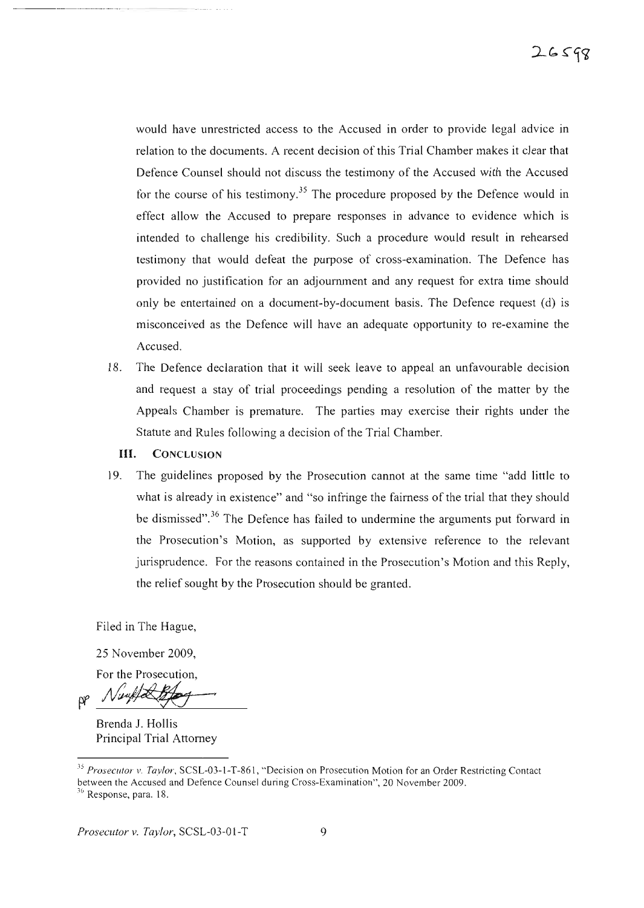would have unrestricted access to the Accused in order to provide legal advice in relation to the documents. A recent decision of this Trial Chamber makes it clear that Defence Counsel should not discuss the testimony of the Accused with the Accused for the course of his testimony.<sup>35</sup> The procedure proposed by the Defence would in effect allow the Accused to prepare responses in advance to evidence which is intended to challenge his credibility. Such a procedure would result in rehearsed testimony that would defeat the purpose of cross-examination. The Defence has provided no justification for an adjournment and any request for extra time should only be entertained on a document-by-document basis. The Defence request (d) is misconceived as the Defence will have an adequate opportunity to re-examine the Accused.

- 18. The Defence declaration that it will seek leave to appeal an unfavourable decision and request a stay of trial proceedings pending a resolution of the matter by the Appeals Chamber is premature. The parties may exercise their rights under the Statute and Rules following a decision of the Trial Chamber.
	- **III.** CONCLUSION

.........................\_ \_..\_ - - -

19. The guidelines proposed by the Prosecution cannot at the same time "add little to what is already in existence" and "so infringe the fairness of the trial that they should be dismissed".<sup>36</sup> The Defence has failed to undermine the arguments put forward in the Prosecution's Motion, as supported by extensive reference to the relevant jurisprudence. For the reasons contained in the Prosecution's Motion and this Reply, the relief sought by the Prosecution should be granted.

Filed in The Hague,

25 November 2009,

For the Prosecution,

pp Numples

Brenda J. Hollis Principal Trial Attorney

<sup>&</sup>lt;sup>35</sup> Prosecutor v. Taylor, SCSL-03-1-T-861, "Decision on Prosecution Motion for an Order Restricting Contact between the Accused and Defence Counsel during Cross-Examination", 20 November 2009.  $36$  Response, para. 18.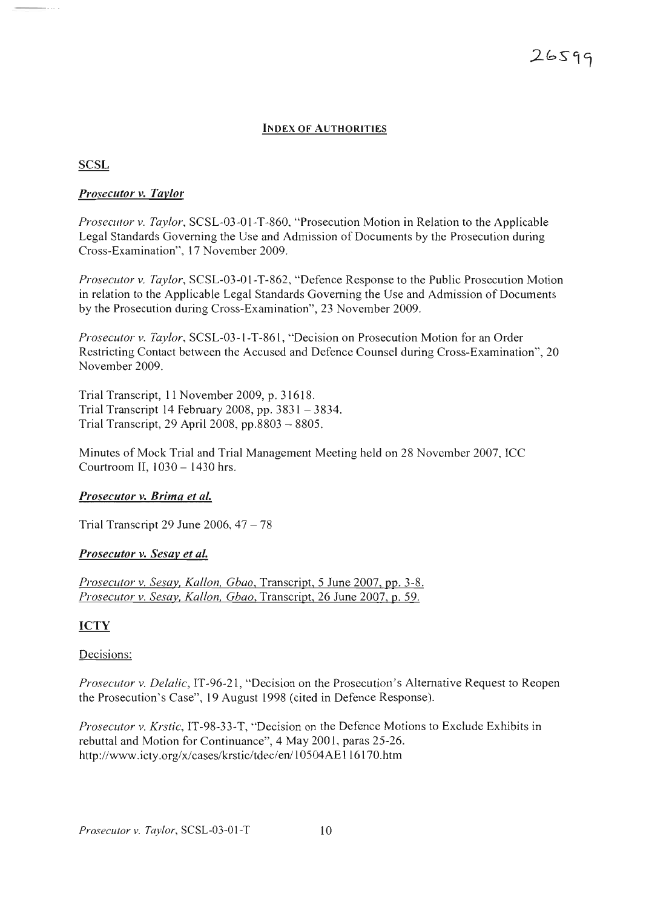## **INDEX OF AUTHORITIES**

#### **SCSL**

#### *Prosecutor v. Tavlor*

*Prosecutor v. Taylor*, SCSL-03-01-T-860, "Prosecution Motion in Relation to the Applicable Legal Standards Governing the Use and Admission of Documents by the Prosecution during Cross-Examination", 17 November 2009 .

*Pros ecutor* v. *Taylor,* SCSL-03-01-T-862, "Defence Response to the Public Prosecution Motion in relation to the Applicable Legal Standards Governing the Use and Admission of Documents by the Prosecution during Cross-Examination", 23 November 2009.

*Prosecutor v. Taylor,* SCSL-03-1-T-861, "Decision on Prosecution Motion for an Order Restricting Contact between the Accused and Defence Counsel during Cross-Examination", 20 November 2009.

Trial Transcript, II November 2009, p. 31618 . Trial Transcript 14 February 2008, pp. 3831 - 3834. Trial Transcript, 29 April 2008, pp.8803 - 8805.

Minutes of Mock Trial and Trial Management Meeting held on 28 November 2007, ICC Courtroom II, 1030 - 1430 hrs.

#### *Prosecutor v. Brima et aL*

Trial Transcript 29 June 2006,  $47 - 78$ 

#### *Prosecutor v. Sesav et al.*

*Prosecutor* v. *Sesay, Kallon, Gbao*, Transcript, 5 June 2007, pp. 3-8. *Prosecutor v. Sesay, Kallon, Gbao, Transcript, 26 June 2007, p. 59.* 

## **ICTY**

#### Decisions:

*Prosecutor v. Delalic,* IT-96-21, "Decision on the Prosecution's Alternative Request to Reopen the Prosecution's Case", 19 August 1998 (cited in Defence Response).

*Prosecutor* v. Krstic, IT-98-33-T, "Decision on the Defence Motions to Exclude Exhibits in rebuttal and Motion for Continuance", 4 May 2001, paras 25-26 . http ://www.icty.org/x/cases/krstic/tdec/en/10504AEI16170.htm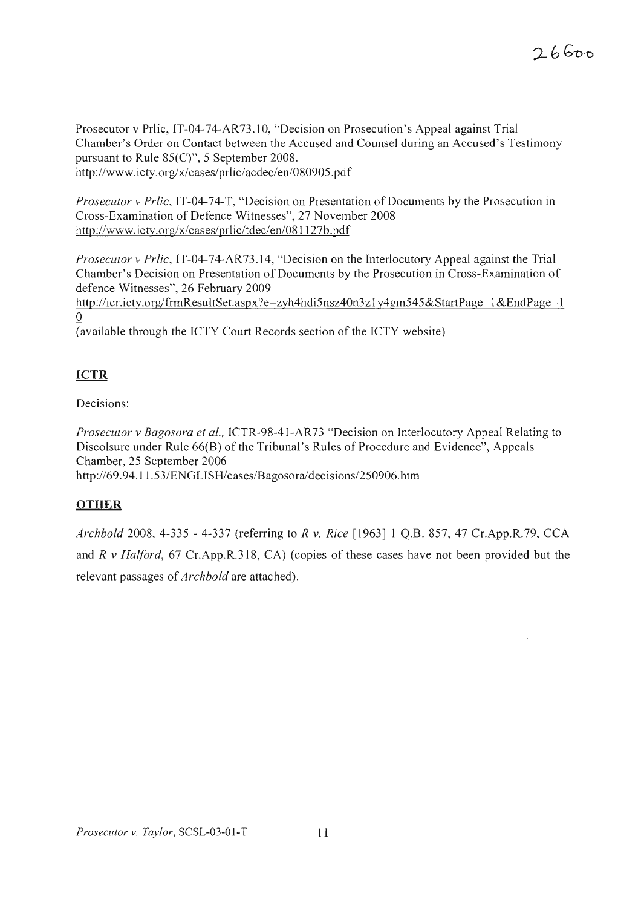Prosecutor v Prlic, IT-04-74-AR73.10, "Decision on Prosecution's Appeal against Trial Chamber's Order on Contact between the Accused and Counsel during an Accused's Testimony pursuant to Rule 85(C)", 5 September 2008. http://www.icty.org/x/cases/prlic/acdec/en/080905.pdf

*Prosecutor v Prlic,* IT-04-74-T, "Decision on Presentation of Documents by the Prosecution in Cross-Examination of Defence Witnesses", 27 November 2008 http://www.icty.org/x/cases/prlic/tdec/en/081127b.pdf

*Prosecutor v Prlic*, IT-04-74-AR73.14, "Decision on the Interlocutory Appeal against the Trial Chamber's Decision on Presentation of Documents by the Prosecution in Cross-Examination of defence Witnesses", 26 February 2009

http://icr.icty.org/frmResultSet.aspx?e=zyh4hdi5nsz40n3z1y4gm545&StartPage=1&EndPage=1 o

(available through the ICTY Court Records section of the ICTY website)

# **ICTR**

Decisions:

*Prosecutor v Bagosora et al.,* ICTR-98-41-AR73 "Decision on Interlocutory Appeal Relating to Discolsure under Rule 66(B) of the Tribunal's Rules of Procedure and Evidence", Appeals Chamber, 25 September 2006 http ://69.94.11.53/ENGLISH/cases/Bagosora/decisions/250906.htm

# **OTHER**

*Archbold* 2008,4-335 - 4-337 (referring to *R v. Rice* [1963] 1 Q.B. 857, 47 Cr.App.R.79, CCA and *R v Halford*, 67 Cr.App.R.318, CA) (copies of these cases have not been provided but the relevant passages of*Archbold* are attached).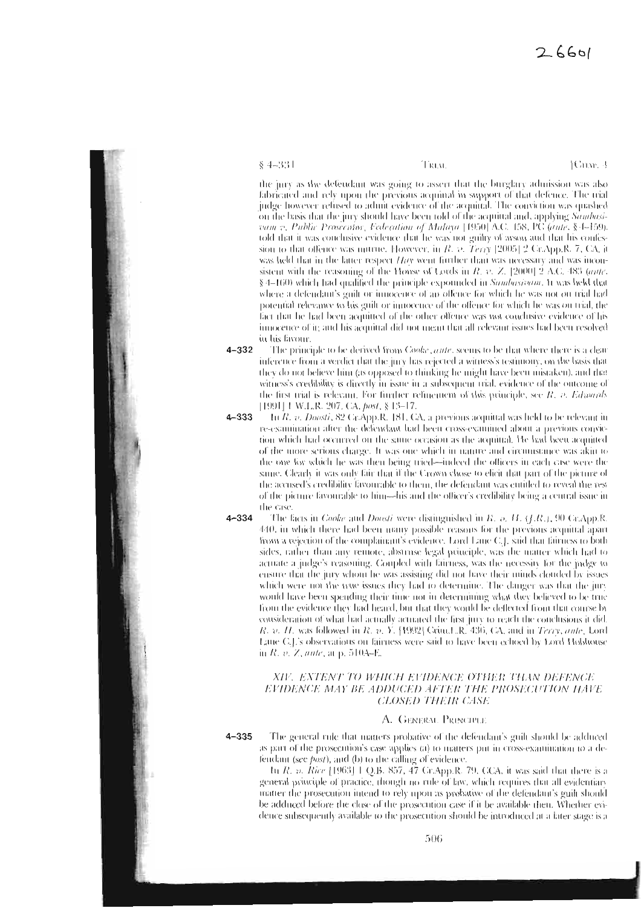$$4-331$ 

Tiatat

[Crixe, 4]

the jury as the defendant was going to assert that the burglary admission was also fabricated and rely upon the previous acquittal in support of that defence. The trial judge however refused to admit evidence of the acquittal. The conviction was quashed on the basis that the jury should have been told of the acquittal and, applying Sambasivant v. Public Prosecutor, Federation of Malaya [1950] A.C. 158, PC (aute, § 1-159). told that it was conclusive evidence that he was not guilty of arson and that his confession to that offence was untrue. However, in  $R$ ,  $v$ ,  $Terry$  [2005] 2 GrApp.R, 7, CA, it was held that in the latter respect  $Hay$  went further than was necessary and was inconsistent with the reasoning of the House of Lords in  $R$ , v. Z. [2000] 2 A.C. 483 (ante, § 4-160) which had qualified the principle expounded in Sambasivam. It was held that where a defendant's guilt or innocence of an offence for which he was not on trial had potential relevance to his guilt or innocence of the offence for which he was on trial, the fact that he had been acquitted of the other offence was not conclusive evidence of his innocence of it; and his acquittal did not mean that all relevant issues had been resolved in his favour.

- $4 332$ The principle to be derived from Cooke, ante, seems to be that where there is a clear inference from a verdict that the jury has rejected a witness's testimony, on the basis that they do not believe him (as opposed to thinking he might have been mistaken), and that witness's credibility is directly in issue in a subsequent trial, evidence of the outcome of the first trial is relevant. For further refinement of this principle, see *R. p. Edwards* [1991] L.W.L.R. 207, CA, post, § 13-17.
- $4 333$ In R. v. Doosti, 82 Cr.App.R. [81, CA, a previous acquittal was held to be relevant in re-examination after the defendant had been cross-examined about a previous conviction which had occurred on the same occasion as the acquittal. He had been acquitted of the more serions charge. It was one which in nature and circumstance was akin to the one for which he was then being tried-indeed the officers in each case were the same. Clearly it was only fair that if the Crown chose to elicit that part of the picture of the accused's credibility favourable to them, the defendant was cutiled to reveal the rest of the picture favourable to him-his and the officer's credibility being a central issue in the case.
- $4 334$

The facts in *Cooke* and *Doosti* were distinguished in *R. o. H. (J.R.)*, 90 Gr.App.R.  $440$ , in which there had been many possible reasons for the previous acquittal apart from a rejection of the complainant's evidence. Lord Lane C.J. said that fairness to both sides, rather than any remote, abstruse legal principle, was the matter which had to actuate a judge's reasoning. Coupled with fairness, was the necessity for the judge to ensure that the jury whom he was assisting did not have their minds clouded by issues which were not the true issues they had to determine. The danger was that the jury would have been spending their time not in determining what they believed to be true from the evidence they had heard, but that they would be deflected from that course by consideration of what had actually actuated the first jury to reach the conclusions it did. R. v. H. was followed in R. v. Y. [1992] Grim.I. R. 436, CA. and in Terry, ante, Lord Eane C.E's observations on fairness were said to have been echoed by Lord Hobhonse in  $R$ , v. Z, ante, at p. 510A-E.

#### XIV. EXTENT TO WHICH EVIDENCE OTHER THAN DEFENCE EVIDENCE MAY BE ADDUCED AFTER THE PROSECUTION HAVE **CLOSED THEIR CASE**

#### A. GENERAL PRINCIPLE

 $4 - 335$ The general rule that matters probative of the defendant's guilt should be adduced as part of the prosecution's case applies (a) to matters put in cross-examination to a defendant (see  $post$ ), and  $(b)$  to the calling of evidence.

In R. v. Rice [1963] 1 Q.B. 857, 47 Cr.App.R. 79, CCA, it was said that there is a general principle of practice, though no rule of law, which requires that all evidentiars matter the prosecution intend to rely upon as probative of the defendant's guilt should be adduced before the close of the prosecution case if it be available then. Whether evidence subsequently available to the prosecution should be introduced at a later stage is a